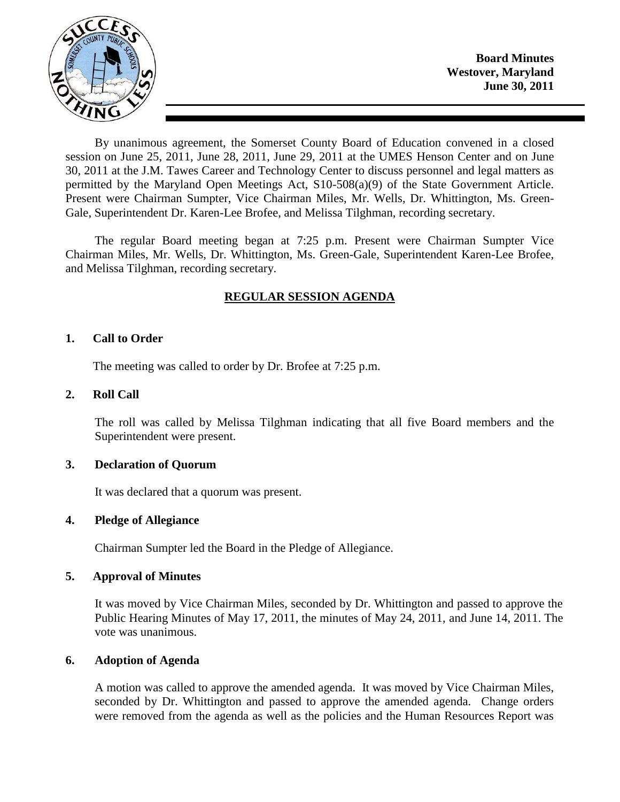

By unanimous agreement, the Somerset County Board of Education convened in a closed session on June 25, 2011, June 28, 2011, June 29, 2011 at the UMES Henson Center and on June 30, 2011 at the J.M. Tawes Career and Technology Center to discuss personnel and legal matters as permitted by the Maryland Open Meetings Act, S10-508(a)(9) of the State Government Article. Present were Chairman Sumpter, Vice Chairman Miles, Mr. Wells, Dr. Whittington, Ms. Green-Gale, Superintendent Dr. Karen-Lee Brofee, and Melissa Tilghman, recording secretary.

The regular Board meeting began at 7:25 p.m. Present were Chairman Sumpter Vice Chairman Miles, Mr. Wells, Dr. Whittington, Ms. Green-Gale, Superintendent Karen-Lee Brofee, and Melissa Tilghman, recording secretary.

# **REGULAR SESSION AGENDA**

#### **1. Call to Order**

The meeting was called to order by Dr. Brofee at 7:25 p.m.

#### **2. Roll Call**

The roll was called by Melissa Tilghman indicating that all five Board members and the Superintendent were present.

#### **3. Declaration of Quorum**

It was declared that a quorum was present.

#### **4. Pledge of Allegiance**

Chairman Sumpter led the Board in the Pledge of Allegiance.

## **5. Approval of Minutes**

It was moved by Vice Chairman Miles, seconded by Dr. Whittington and passed to approve the Public Hearing Minutes of May 17, 2011, the minutes of May 24, 2011, and June 14, 2011. The vote was unanimous.

## **6. Adoption of Agenda**

A motion was called to approve the amended agenda. It was moved by Vice Chairman Miles, seconded by Dr. Whittington and passed to approve the amended agenda. Change orders were removed from the agenda as well as the policies and the Human Resources Report was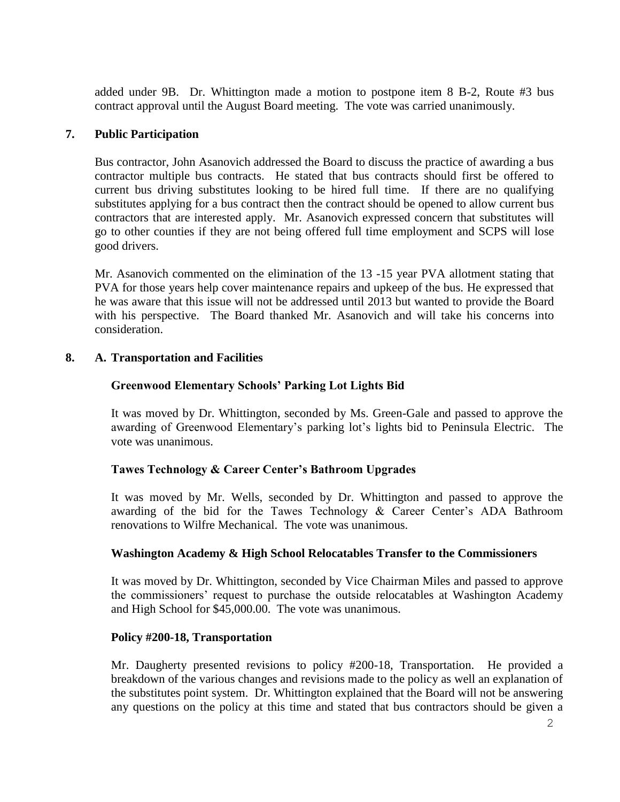added under 9B. Dr. Whittington made a motion to postpone item 8 B-2, Route #3 bus contract approval until the August Board meeting. The vote was carried unanimously.

## **7. Public Participation**

Bus contractor, John Asanovich addressed the Board to discuss the practice of awarding a bus contractor multiple bus contracts. He stated that bus contracts should first be offered to current bus driving substitutes looking to be hired full time. If there are no qualifying substitutes applying for a bus contract then the contract should be opened to allow current bus contractors that are interested apply. Mr. Asanovich expressed concern that substitutes will go to other counties if they are not being offered full time employment and SCPS will lose good drivers.

Mr. Asanovich commented on the elimination of the 13 -15 year PVA allotment stating that PVA for those years help cover maintenance repairs and upkeep of the bus. He expressed that he was aware that this issue will not be addressed until 2013 but wanted to provide the Board with his perspective. The Board thanked Mr. Asanovich and will take his concerns into consideration.

#### **8. A. Transportation and Facilities**

## **Greenwood Elementary Schools' Parking Lot Lights Bid**

It was moved by Dr. Whittington, seconded by Ms. Green-Gale and passed to approve the awarding of Greenwood Elementary's parking lot's lights bid to Peninsula Electric. The vote was unanimous.

#### **Tawes Technology & Career Center's Bathroom Upgrades**

It was moved by Mr. Wells, seconded by Dr. Whittington and passed to approve the awarding of the bid for the Tawes Technology & Career Center's ADA Bathroom renovations to Wilfre Mechanical. The vote was unanimous.

#### **Washington Academy & High School Relocatables Transfer to the Commissioners**

It was moved by Dr. Whittington, seconded by Vice Chairman Miles and passed to approve the commissioners' request to purchase the outside relocatables at Washington Academy and High School for \$45,000.00. The vote was unanimous.

#### **Policy #200-18, Transportation**

Mr. Daugherty presented revisions to policy #200-18, Transportation. He provided a breakdown of the various changes and revisions made to the policy as well an explanation of the substitutes point system. Dr. Whittington explained that the Board will not be answering any questions on the policy at this time and stated that bus contractors should be given a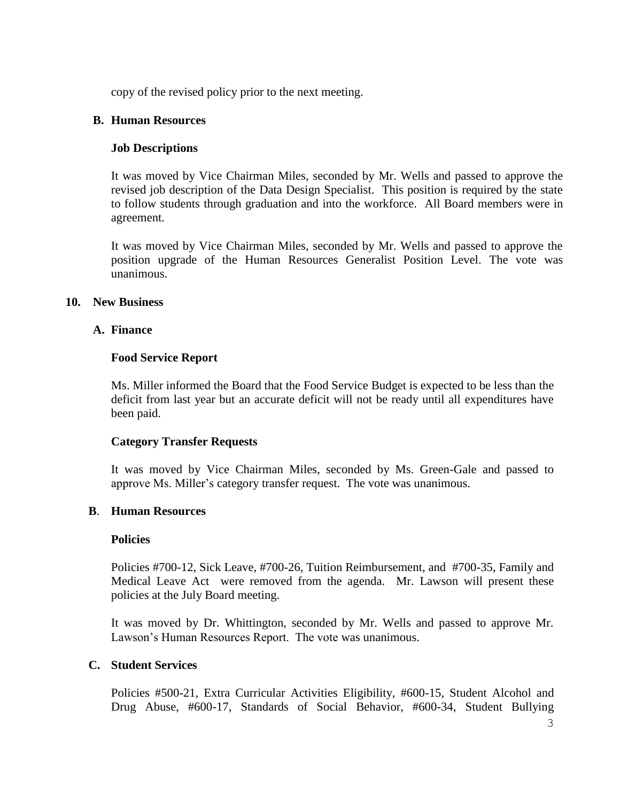copy of the revised policy prior to the next meeting.

#### **B. Human Resources**

## **Job Descriptions**

It was moved by Vice Chairman Miles, seconded by Mr. Wells and passed to approve the revised job description of the Data Design Specialist. This position is required by the state to follow students through graduation and into the workforce. All Board members were in agreement.

It was moved by Vice Chairman Miles, seconded by Mr. Wells and passed to approve the position upgrade of the Human Resources Generalist Position Level. The vote was unanimous.

#### **10. New Business**

#### **A. Finance**

#### **Food Service Report**

Ms. Miller informed the Board that the Food Service Budget is expected to be less than the deficit from last year but an accurate deficit will not be ready until all expenditures have been paid.

#### **Category Transfer Requests**

It was moved by Vice Chairman Miles, seconded by Ms. Green-Gale and passed to approve Ms. Miller's category transfer request. The vote was unanimous.

#### **B**. **Human Resources**

#### **Policies**

Policies #700-12, Sick Leave, #700-26, Tuition Reimbursement, and #700-35, Family and Medical Leave Act were removed from the agenda. Mr. Lawson will present these policies at the July Board meeting.

It was moved by Dr. Whittington, seconded by Mr. Wells and passed to approve Mr. Lawson's Human Resources Report. The vote was unanimous.

## **C. Student Services**

Policies #500-21, Extra Curricular Activities Eligibility, #600-15, Student Alcohol and Drug Abuse, #600-17, Standards of Social Behavior, #600-34, Student Bullying